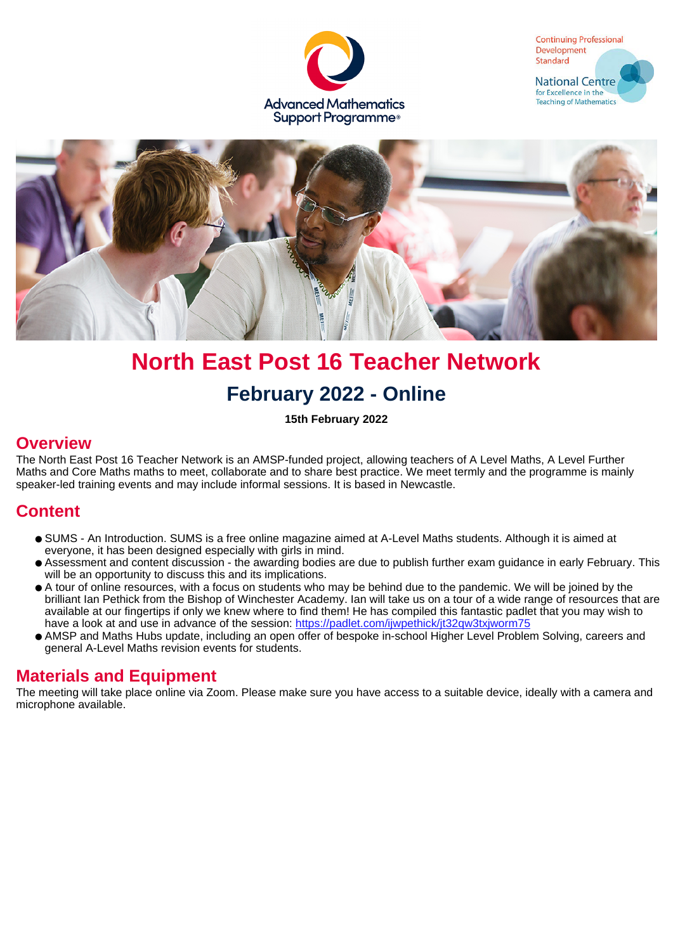





# **North East Post 16 Teacher Network February 2022 - Online**

**15th February 2022**

#### **Overview**

The North East Post 16 Teacher Network is an AMSP-funded project, allowing teachers of A Level Maths, A Level Further Maths and Core Maths maths to meet, collaborate and to share best practice. We meet termly and the programme is mainly speaker-led training events and may include informal sessions. It is based in Newcastle.

### **Content**

- SUMS An Introduction. SUMS is a free online magazine aimed at A-Level Maths students. Although it is aimed at everyone, it has been designed especially with girls in mind.
- Assessment and content discussion the awarding bodies are due to publish further exam guidance in early February. This will be an opportunity to discuss this and its implications.
- A tour of online resources, with a focus on students who may be behind due to the pandemic. We will be joined by the brilliant Ian Pethick from the Bishop of Winchester Academy. Ian will take us on a tour of a wide range of resources that are available at our fingertips if only we knew where to find them! He has compiled this fantastic padlet that you may wish to have a look at and use in advance of the session:<https://padlet.com/ijwpethick/jt32qw3txjworm75>
- AMSP and Maths Hubs update, including an open offer of bespoke in-school Higher Level Problem Solving, careers and general A-Level Maths revision events for students.

#### **Materials and Equipment**

The meeting will take place online via Zoom. Please make sure you have access to a suitable device, ideally with a camera and microphone available.